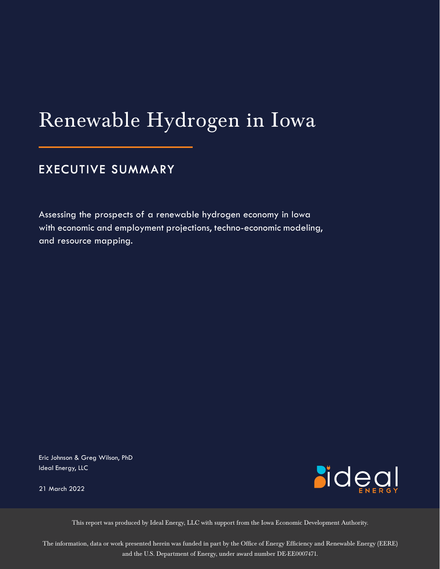# Renewable Hydrogen in Iowa

# **EXECUTIVE SUMMARY**

Assessing the prospects of a renewable hydrogen economy in Iowa with economic and employment projections, techno-economic modeling, and resource mapping.

Eric Johnson & Greg Wilson, PhD Ideal Energy, LLC

21 March 2022



This report was produced by Ideal Energy, LLC with support from the Iowa Economic Development Authority.

The information, data or work presented herein was funded in part by the Office of Energy Efficiency and Renewable Energy (EERE) and the U.S. Department of Energy, under award number DE-EE0007471.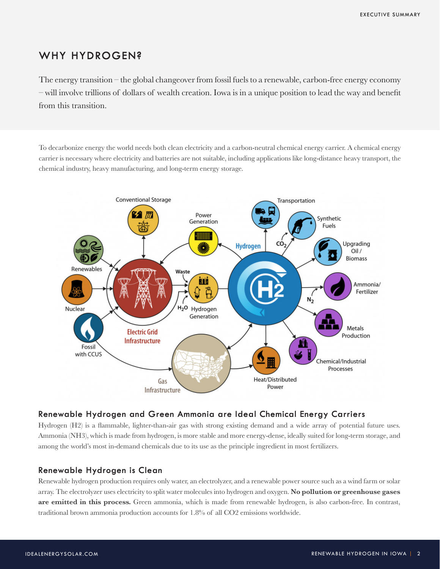# **WHY HYDROGEN?**

The energy transition – the global changeover from fossil fuels to a renewable, carbon-free energy economy – will involve trillions of dollars of wealth creation. Iowa is in a unique position to lead the way and benefit from this transition.

To decarbonize energy the world needs both clean electricity and a carbon-neutral chemical energy carrier. A chemical energy carrier is necessary where electricity and batteries are not suitable, including applications like long-distance heavy transport, the chemical industry, heavy manufacturing, and long-term energy storage.



# **Renewable Hydrogen and Green Ammonia are Ideal Chemical Energy Carriers**

Hydrogen (H2) is a flammable, lighter-than-air gas with strong existing demand and a wide array of potential future uses. Ammonia (NH3), which is made from hydrogen, is more stable and more energy-dense, ideally suited for long-term storage, and among the world's most in-demand chemicals due to its use as the principle ingredient in most fertilizers.

## **Renewable Hydrogen is Clean**

Renewable hydrogen production requires only water, an electrolyzer, and a renewable power source such as a wind farm or solar array. The electrolyzer uses electricity to split water molecules into hydrogen and oxygen. **No pollution or greenhouse gases are emitted in this process.** Green ammonia, which is made from renewable hydrogen, is also carbon-free. In contrast, traditional brown ammonia production accounts for 1.8% of all CO2 emissions worldwide.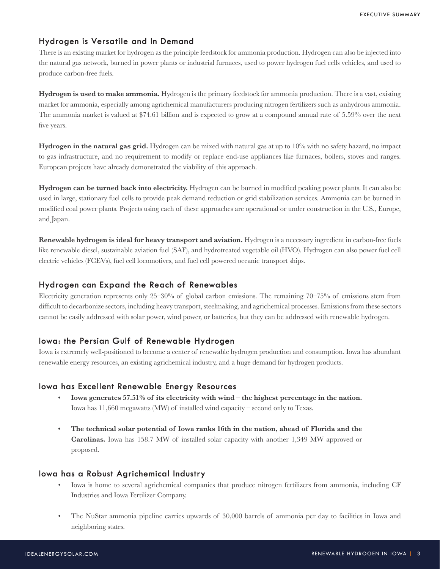## **Hydrogen is Versatile and In Demand**

There is an existing market for hydrogen as the principle feedstock for ammonia production. Hydrogen can also be injected into the natural gas network, burned in power plants or industrial furnaces, used to power hydrogen fuel cells vehicles, and used to produce carbon-free fuels.

**Hydrogen is used to make ammonia.** Hydrogen is the primary feedstock for ammonia production. There is a vast, existing market for ammonia, especially among agrichemical manufacturers producing nitrogen fertilizers such as anhydrous ammonia. The ammonia market is valued at \$74.61 billion and is expected to grow at a compound annual rate of 5.59% over the next five years.

**Hydrogen in the natural gas grid.** Hydrogen can be mixed with natural gas at up to 10% with no safety hazard, no impact to gas infrastructure, and no requirement to modify or replace end-use appliances like furnaces, boilers, stoves and ranges. European projects have already demonstrated the viability of this approach.

**Hydrogen can be turned back into electricity.** Hydrogen can be burned in modified peaking power plants. It can also be used in large, stationary fuel cells to provide peak demand reduction or grid stabilization services. Ammonia can be burned in modified coal power plants. Projects using each of these approaches are operational or under construction in the U.S., Europe, and Japan.

**Renewable hydrogen is ideal for heavy transport and aviation.** Hydrogen is a necessary ingredient in carbon-free fuels like renewable diesel, sustainable aviation fuel (SAF), and hydrotreated vegetable oil (HVO). Hydrogen can also power fuel cell electric vehicles (FCEVs), fuel cell locomotives, and fuel cell powered oceanic transport ships.

#### **Hydrogen can Expand the Reach of Renewables**

Electricity generation represents only 25–30% of global carbon emissions. The remaining 70–75% of emissions stem from difficult to decarbonize sectors, including heavy transport, steelmaking, and agrichemical processes. Emissions from these sectors cannot be easily addressed with solar power, wind power, or batteries, but they can be addressed with renewable hydrogen.

#### **Iowa: the Persian Gulf of Renewable Hydrogen**

Iowa is extremely well-positioned to become a center of renewable hydrogen production and consumption. Iowa has abundant renewable energy resources, an existing agrichemical industry, and a huge demand for hydrogen products.

#### **Iowa has Excellent Renewable Energy Resources**

- **• Iowa generates 57.51% of its electricity with wind the highest percentage in the nation.** Iowa has 11,660 megawatts (MW) of installed wind capacity – second only to Texas.
- **• The technical solar potential of Iowa ranks 16th in the nation, ahead of Florida and the Carolinas.** Iowa has 158.7 MW of installed solar capacity with another 1,349 MW approved or proposed.

#### **Iowa has a Robust Agrichemical Industry**

- Iowa is home to several agrichemical companies that produce nitrogen fertilizers from ammonia, including CF Industries and Iowa Fertilizer Company.
- The NuStar ammonia pipeline carries upwards of 30,000 barrels of ammonia per day to facilities in Iowa and neighboring states.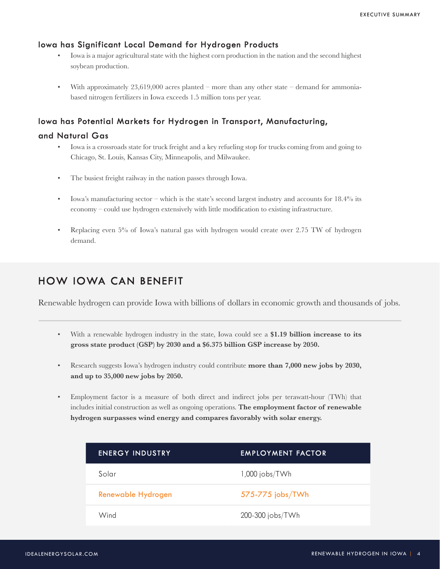# **Iowa has Significant Local Demand for Hydrogen Products**

- Iowa is a major agricultural state with the highest corn production in the nation and the second highest soybean production.
- With approximately  $23,619,000$  acres planted more than any other state demand for ammoniabased nitrogen fertilizers in Iowa exceeds 1.5 million tons per year.

# **Iowa has Potential Markets for Hydrogen in Transport, Manufacturing,**

## **and Natural Gas**

- Iowa is a crossroads state for truck freight and a key refueling stop for trucks coming from and going to Chicago, St. Louis, Kansas City, Minneapolis, and Milwaukee.
- The busiest freight railway in the nation passes through Iowa.
- Iowa's manufacturing sector which is the state's second largest industry and accounts for  $18.4\%$  its economy – could use hydrogen extensively with little modification to existing infrastructure.
- Replacing even 5% of Iowa's natural gas with hydrogen would create over 2.75 TW of hydrogen demand.

# **HOW IOWA CAN BENEFIT**

Renewable hydrogen can provide Iowa with billions of dollars in economic growth and thousands of jobs.

- With a renewable hydrogen industry in the state, Iowa could see a **\$1.19 billion increase to its gross state product (GSP) by 2030 and a \$6.375 billion GSP increase by 2050.**
- Research suggests Iowa's hydrogen industry could contribute **more than 7,000 new jobs by 2030, and up to 35,000 new jobs by 2050.**
- Employment factor is a measure of both direct and indirect jobs per terawatt-hour (TWh) that includes initial construction as well as ongoing operations. **The employment factor of renewable hydrogen surpasses wind energy and compares favorably with solar energy.**

| <b>ENERGY INDUSTRY</b> | <b>EMPLOYMENT FACTOR</b> |
|------------------------|--------------------------|
| Solar                  | $1,000$ jobs/TWh         |
| Renewable Hydrogen     | 575-775 jobs/TWh         |
| Wind                   | 200-300 jobs/TWh         |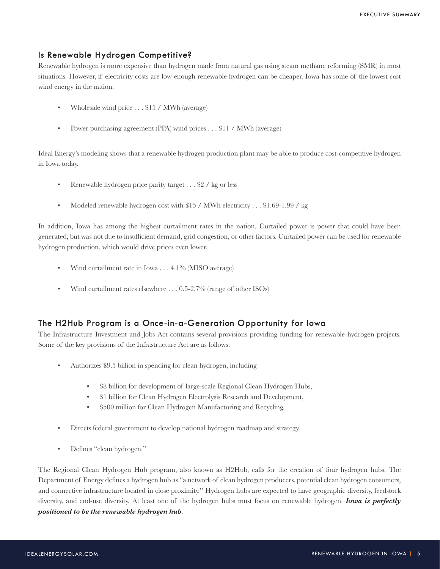# **Is Renewable Hydrogen Competitive?**

Renewable hydrogen is more expensive than hydrogen made from natural gas using steam methane reforming (SMR) in most situations. However, if electricity costs are low enough renewable hydrogen can be cheaper. Iowa has some of the lowest cost wind energy in the nation:

- Wholesale wind price . . . \$15 / MWh (average)
- Power purchasing agreement (PPA) wind prices . . . \$11 / MWh (average)

Ideal Energy's modeling shows that a renewable hydrogen production plant may be able to produce cost-competitive hydrogen in Iowa today.

- Renewable hydrogen price parity target . . . \$2 / kg or less
- Modeled renewable hydrogen cost with \$15 / MWh electricity . . . \$1.69-1.99 / kg

In addition, Iowa has among the highest curtailment rates in the nation. Curtailed power is power that could have been generated, but was not due to insufficient demand, grid congestion, or other factors. Curtailed power can be used for renewable hydrogen production, which would drive prices even lower.

- Wind curtailment rate in Iowa . . . 4.1% (MISO average)
- Wind curtailment rates elsewhere . . . 0.5-2.7% (range of other ISOs)

#### **The H2Hub Program is a Once-in-a-Generation Opportunity for Iowa**

The Infrastructure Investment and Jobs Act contains several provisions providing funding for renewable hydrogen projects. Some of the key provisions of the Infrastructure Act are as follows:

- Authorizes \$9.5 billion in spending for clean hydrogen, including
	- \$8 billion for development of large-scale Regional Clean Hydrogen Hubs,
	- \$1 billion for Clean Hydrogen Electrolysis Research and Development,
	- \$500 million for Clean Hydrogen Manufacturing and Recycling.
- Directs federal government to develop national hydrogen roadmap and strategy.
- Defines "clean hydrogen."

The Regional Clean Hydrogen Hub program, also known as H2Hub, calls for the creation of four hydrogen hubs. The Department of Energy defines a hydrogen hub as "a network of clean hydrogen producers, potential clean hydrogen consumers, and connective infrastructure located in close proximity." Hydrogen hubs are expected to have geographic diversity, feedstock diversity, and end-use diversity. At least one of the hydrogen hubs must focus on renewable hydrogen. *Iowa is perfectly positioned to be the renewable hydrogen hub.*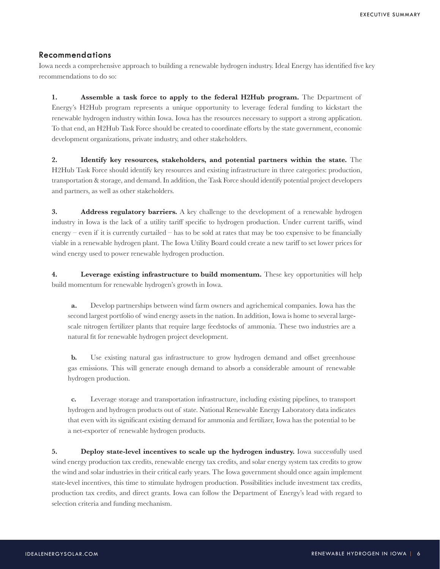## **Recommendations**

Iowa needs a comprehensive approach to building a renewable hydrogen industry. Ideal Energy has identified five key recommendations to do so:

**1. Assemble a task force to apply to the federal H2Hub program.** The Department of Energy's H2Hub program represents a unique opportunity to leverage federal funding to kickstart the renewable hydrogen industry within Iowa. Iowa has the resources necessary to support a strong application. To that end, an H2Hub Task Force should be created to coordinate efforts by the state government, economic development organizations, private industry, and other stakeholders.

**2. Identify key resources, stakeholders, and potential partners within the state.** The H2Hub Task Force should identify key resources and existing infrastructure in three categories: production, transportation & storage, and demand. In addition, the Task Force should identify potential project developers and partners, as well as other stakeholders.

**3. Address regulatory barriers.** A key challenge to the development of a renewable hydrogen industry in Iowa is the lack of a utility tariff specific to hydrogen production. Under current tariffs, wind energy – even if it is currently curtailed – has to be sold at rates that may be too expensive to be financially viable in a renewable hydrogen plant. The Iowa Utility Board could create a new tariff to set lower prices for wind energy used to power renewable hydrogen production.

**4. Leverage existing infrastructure to build momentum.** These key opportunities will help build momentum for renewable hydrogen's growth in Iowa.

**a.** Develop partnerships between wind farm owners and agrichemical companies. Iowa has the second largest portfolio of wind energy assets in the nation. In addition, Iowa is home to several largescale nitrogen fertilizer plants that require large feedstocks of ammonia. These two industries are a natural fit for renewable hydrogen project development.

**b.** Use existing natural gas infrastructure to grow hydrogen demand and offset greenhouse gas emissions. This will generate enough demand to absorb a considerable amount of renewable hydrogen production.

**c.** Leverage storage and transportation infrastructure, including existing pipelines, to transport hydrogen and hydrogen products out of state. National Renewable Energy Laboratory data indicates that even with its significant existing demand for ammonia and fertilizer, Iowa has the potential to be a net-exporter of renewable hydrogen products.

**5. Deploy state-level incentives to scale up the hydrogen industry.** Iowa successfully used wind energy production tax credits, renewable energy tax credits, and solar energy system tax credits to grow the wind and solar industries in their critical early years. The Iowa government should once again implement state-level incentives, this time to stimulate hydrogen production. Possibilities include investment tax credits, production tax credits, and direct grants. Iowa can follow the Department of Energy's lead with regard to selection criteria and funding mechanism.